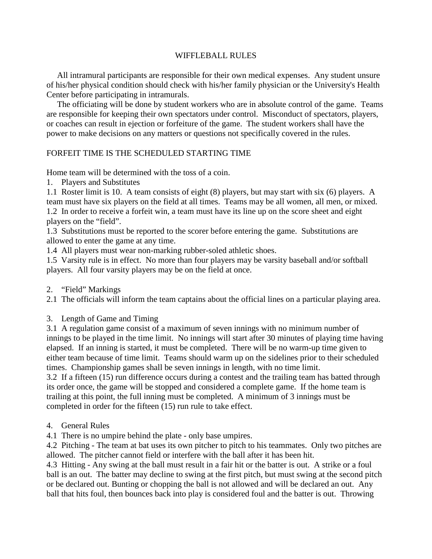## WIFFLEBALL RULES

 All intramural participants are responsible for their own medical expenses. Any student unsure of his/her physical condition should check with his/her family physician or the University's Health Center before participating in intramurals.

 The officiating will be done by student workers who are in absolute control of the game. Teams are responsible for keeping their own spectators under control. Misconduct of spectators, players, or coaches can result in ejection or forfeiture of the game. The student workers shall have the power to make decisions on any matters or questions not specifically covered in the rules.

## FORFEIT TIME IS THE SCHEDULED STARTING TIME

Home team will be determined with the toss of a coin.

1. Players and Substitutes

1.1 Roster limit is 10. A team consists of eight (8) players, but may start with six (6) players. A team must have six players on the field at all times. Teams may be all women, all men, or mixed. 1.2 In order to receive a forfeit win, a team must have its line up on the score sheet and eight players on the "field".

1.3 Substitutions must be reported to the scorer before entering the game. Substitutions are allowed to enter the game at any time.

1.4 All players must wear non-marking rubber-soled athletic shoes.

1.5 Varsity rule is in effect. No more than four players may be varsity baseball and/or softball players. All four varsity players may be on the field at once.

2. "Field" Markings

2.1 The officials will inform the team captains about the official lines on a particular playing area.

3. Length of Game and Timing

3.1 A regulation game consist of a maximum of seven innings with no minimum number of innings to be played in the time limit. No innings will start after 30 minutes of playing time having elapsed. If an inning is started, it must be completed. There will be no warm-up time given to either team because of time limit. Teams should warm up on the sidelines prior to their scheduled times. Championship games shall be seven innings in length, with no time limit.

3.2 If a fifteen (15) run difference occurs during a contest and the trailing team has batted through its order once, the game will be stopped and considered a complete game. If the home team is trailing at this point, the full inning must be completed. A minimum of 3 innings must be completed in order for the fifteen (15) run rule to take effect.

4. General Rules

4.1 There is no umpire behind the plate - only base umpires.

4.2 Pitching - The team at bat uses its own pitcher to pitch to his teammates. Only two pitches are allowed. The pitcher cannot field or interfere with the ball after it has been hit.

4.3 Hitting - Any swing at the ball must result in a fair hit or the batter is out. A strike or a foul ball is an out. The batter may decline to swing at the first pitch, but must swing at the second pitch or be declared out. Bunting or chopping the ball is not allowed and will be declared an out. Any ball that hits foul, then bounces back into play is considered foul and the batter is out. Throwing